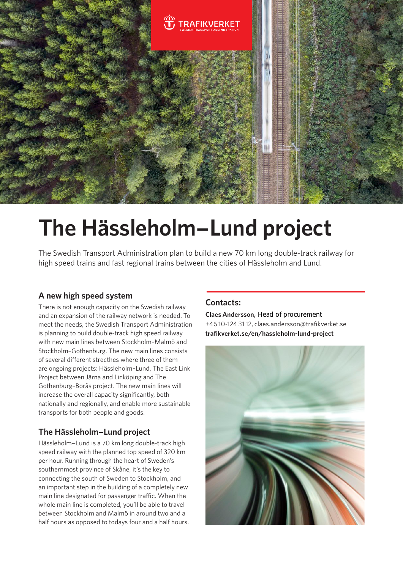

# **The Hässleholm−Lund project**

The Swedish Transport Administration plan to build a new 70 km long double-track railway for high speed trains and fast regional trains between the cities of Hässleholm and Lund.

## **A new high speed system**

There is not enough capacity on the Swedish railway and an expansion of the railway network is needed. To meet the needs, the Swedish Transport Administration is planning to build double-track high speed railway with new main lines between Stockholm–Malmö and Stockholm–Gothenburg. The new main lines consists of several different strecthes where three of them are ongoing projects: Hässleholm–Lund, The East Link Project between Järna and Linköping and The Gothenburg–Borås project. The new main lines will increase the overall capacity significantly, both nationally and regionally, and enable more sustainable transports for both people and goods.

## **The Hässleholm−Lund project**

Hässleholm−Lund is a 70 km long double-track high speed railway with the planned top speed of 320 km per hour. Running through the heart of Sweden's southernmost province of Skåne, it's the key to connecting the south of Sweden to Stockholm, and an important step in the building of a completely new main line designated for passenger traffic. When the whole main line is completed, you'll be able to travel between Stockholm and Malmö in around two and a half hours as opposed to todays four and a half hours.

## **Contacts:**

**Claes Andersson,**  Head of procurement+46 10-124 31 12, claes.andersson@trafikverket.se **trafikverket.se/en/hassleholm-lund-project**